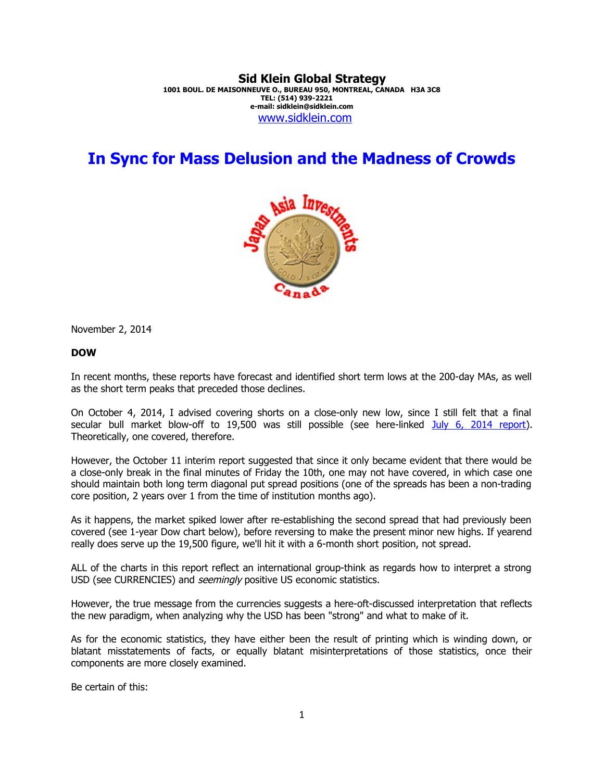#### **Sid Klein Global Strategy 1001 BOUL. DE MAISONNEUVE O., BUREAU 950, MONTREAL, CANADA H3A 3C8 TEL: (514) 939-2221 e-mail: sidklein@sidklein.com** [www.sidklein.com](http://www.sidklein.com/)

# **In Sync for Mass Delusion and the Madness of Crowds**



November 2, 2014

#### **DOW**

In recent months, these reports have forecast and identified short term lows at the 200-day MAs, as well as the short term peaks that preceded those declines.

On October 4, 2014, I advised covering shorts on a close-only new low, since I still felt that a final secular bull market blow-off to 19,500 was still possible (see here-linked [July 6, 2014 report\)](http://www.sidklein.com/NewComments/July%206%202014%20SKGS%20July%20report.pdf). Theoretically, one covered, therefore.

However, the October 11 interim report suggested that since it only became evident that there would be a close-only break in the final minutes of Friday the 10th, one may not have covered, in which case one should maintain both long term diagonal put spread positions (one of the spreads has been a non-trading core position, 2 years over 1 from the time of institution months ago).

As it happens, the market spiked lower after re-establishing the second spread that had previously been covered (see 1-year Dow chart below), before reversing to make the present minor new highs. If yearend really does serve up the 19,500 figure, we'll hit it with a 6-month short position, not spread.

ALL of the charts in this report reflect an international group-think as regards how to interpret a strong USD (see CURRENCIES) and *seemingly* positive US economic statistics.

However, the true message from the currencies suggests a here-oft-discussed interpretation that reflects the new paradigm, when analyzing why the USD has been "strong" and what to make of it.

As for the economic statistics, they have either been the result of printing which is winding down, or blatant misstatements of facts, or equally blatant misinterpretations of those statistics, once their components are more closely examined.

Be certain of this: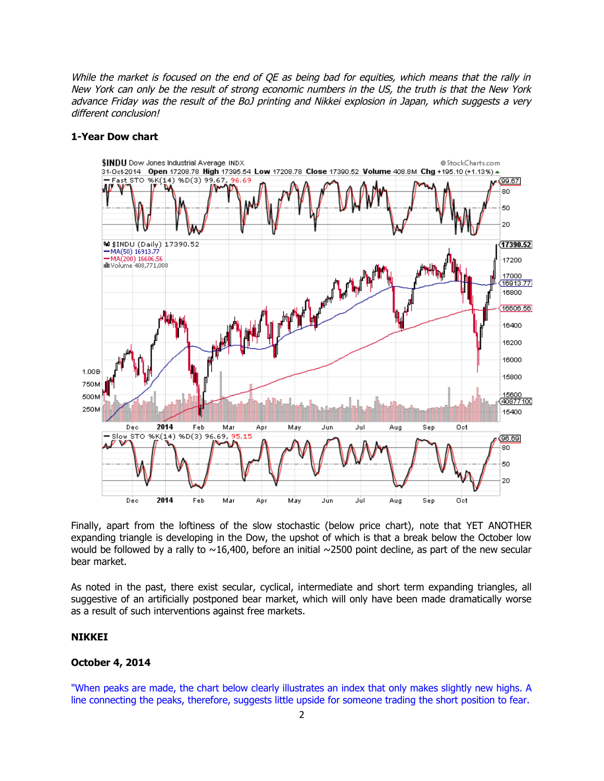While the market is focused on the end of OE as being bad for equities, which means that the rally in New York can only be the result of strong economic numbers in the US, the truth is that the New York advance Friday was the result of the BoJ printing and Nikkei explosion in Japan, which suggests a very different conclusion!

#### **1-Year Dow chart**



Finally, apart from the loftiness of the slow stochastic (below price chart), note that YET ANOTHER expanding triangle is developing in the Dow, the upshot of which is that a break below the October low would be followed by a rally to  $\sim$ 16,400, before an initial  $\sim$ 2500 point decline, as part of the new secular bear market.

As noted in the past, there exist secular, cyclical, intermediate and short term expanding triangles, all suggestive of an artificially postponed bear market, which will only have been made dramatically worse as a result of such interventions against free markets.

#### **NIKKEI**

#### **October 4, 2014**

"When peaks are made, the chart below clearly illustrates an index that only makes slightly new highs. A line connecting the peaks, therefore, suggests little upside for someone trading the short position to fear.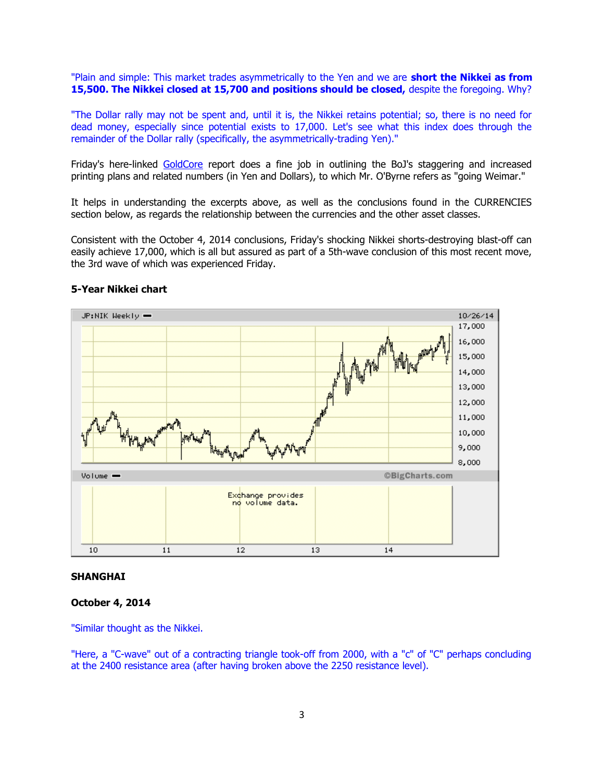"Plain and simple: This market trades asymmetrically to the Yen and we are **short the Nikkei as from 15,500. The Nikkei closed at 15,700 and positions should be closed,** despite the foregoing. Why?

"The Dollar rally may not be spent and, until it is, the Nikkei retains potential; so, there is no need for dead money, especially since potential exists to 17,000. Let's see what this index does through the remainder of the Dollar rally (specifically, the asymmetrically-trading Yen)."

Friday's here-linked [GoldCore](http://www.goldcore.com/us/gold-blog/gold-falls-stocks-record-highs-as-japan-goes-weimar-here-be-dragons-2/) report does a fine job in outlining the BoJ's staggering and increased printing plans and related numbers (in Yen and Dollars), to which Mr. O'Byrne refers as "going Weimar."

It helps in understanding the excerpts above, as well as the conclusions found in the CURRENCIES section below, as regards the relationship between the currencies and the other asset classes.

Consistent with the October 4, 2014 conclusions, Friday's shocking Nikkei shorts-destroying blast-off can easily achieve 17,000, which is all but assured as part of a 5th-wave conclusion of this most recent move, the 3rd wave of which was experienced Friday.



#### **5-Year Nikkei chart**

#### **SHANGHAI**

## **October 4, 2014**

"Similar thought as the Nikkei.

"Here, a "C-wave" out of a contracting triangle took-off from 2000, with a "c" of "C" perhaps concluding at the 2400 resistance area (after having broken above the 2250 resistance level).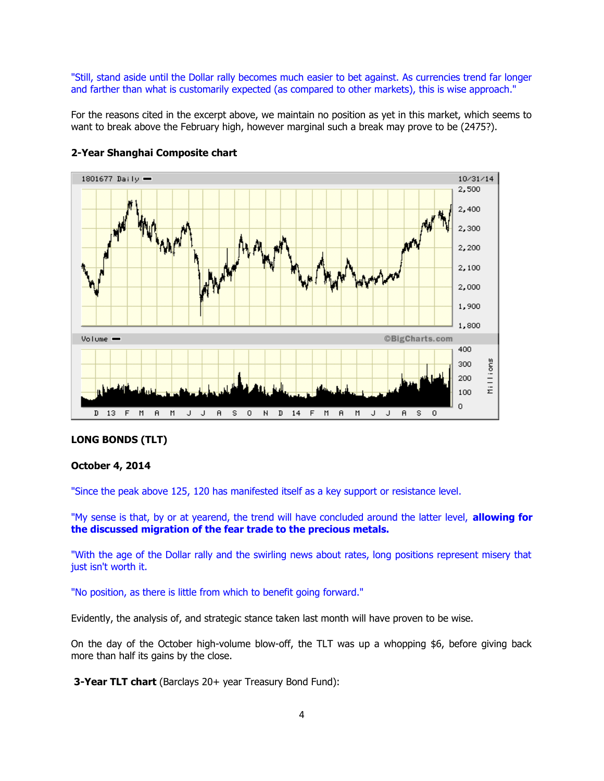"Still, stand aside until the Dollar rally becomes much easier to bet against. As currencies trend far longer and farther than what is customarily expected (as compared to other markets), this is wise approach."

For the reasons cited in the excerpt above, we maintain no position as yet in this market, which seems to want to break above the February high, however marginal such a break may prove to be (2475?).



#### **2-Year Shanghai Composite chart**

#### **LONG BONDS (TLT)**

#### **October 4, 2014**

"Since the peak above 125, 120 has manifested itself as a key support or resistance level.

"My sense is that, by or at yearend, the trend will have concluded around the latter level, **allowing for the discussed migration of the fear trade to the precious metals.** 

"With the age of the Dollar rally and the swirling news about rates, long positions represent misery that just isn't worth it.

"No position, as there is little from which to benefit going forward."

Evidently, the analysis of, and strategic stance taken last month will have proven to be wise.

On the day of the October high-volume blow-off, the TLT was up a whopping \$6, before giving back more than half its gains by the close.

**3-Year TLT chart** (Barclays 20+ year Treasury Bond Fund):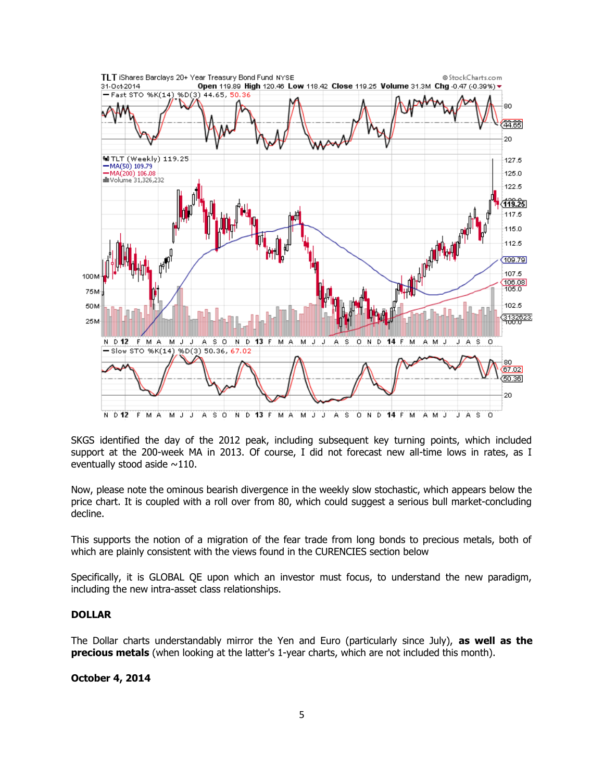

SKGS identified the day of the 2012 peak, including subsequent key turning points, which included support at the 200-week MA in 2013. Of course, I did not forecast new all-time lows in rates, as I eventually stood aside  $\sim$ 110.

Now, please note the ominous bearish divergence in the weekly slow stochastic, which appears below the price chart. It is coupled with a roll over from 80, which could suggest a serious bull market-concluding decline.

This supports the notion of a migration of the fear trade from long bonds to precious metals, both of which are plainly consistent with the views found in the CURENCIES section below

Specifically, it is GLOBAL QE upon which an investor must focus, to understand the new paradigm, including the new intra-asset class relationships.

### **DOLLAR**

The Dollar charts understandably mirror the Yen and Euro (particularly since July), **as well as the precious metals** (when looking at the latter's 1-year charts, which are not included this month).

### **October 4, 2014**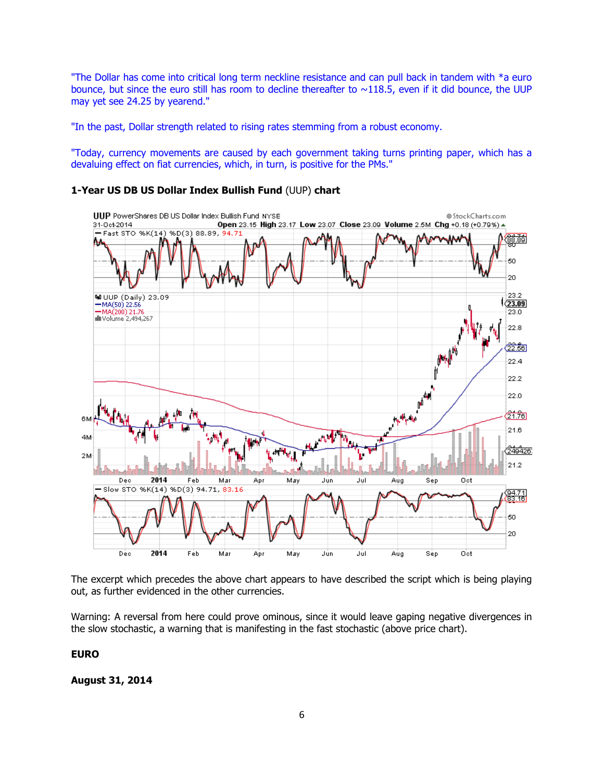"The Dollar has come into critical long term neckline resistance and can pull back in tandem with \*a euro bounce, but since the euro still has room to decline thereafter to  $\sim$ 118.5, even if it did bounce, the UUP may yet see 24.25 by yearend."

"In the past, Dollar strength related to rising rates stemming from a robust economy.

"Today, currency movements are caused by each government taking turns printing paper, which has a devaluing effect on fiat currencies, which, in turn, is positive for the PMs."

## **1-Year US DB US Dollar Index Bullish Fund** (UUP) **chart**



The excerpt which precedes the above chart appears to have described the script which is being playing out, as further evidenced in the other currencies.

Warning: A reversal from here could prove ominous, since it would leave gaping negative divergences in the slow stochastic, a warning that is manifesting in the fast stochastic (above price chart).

**EURO**

**August 31, 2014**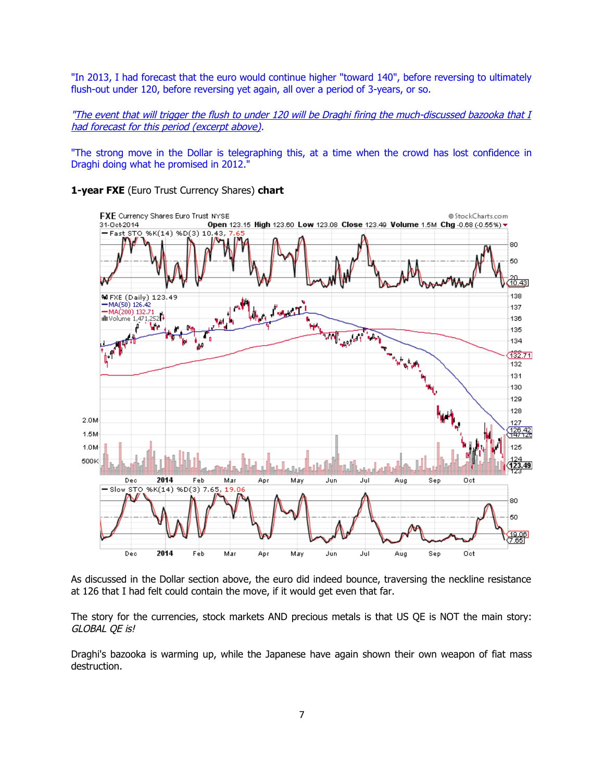"In 2013, I had forecast that the euro would continue higher "toward 140", before reversing to ultimately flush-out under 120, before reversing yet again, all over a period of 3-years, or so.

"The event that will trigger the flush to under 120 will be Draghi firing the much-discussed bazooka that I had forecast for this period (excerpt above).

"The strong move in the Dollar is telegraphing this, at a time when the crowd has lost confidence in Draghi doing what he promised in 2012."





As discussed in the Dollar section above, the euro did indeed bounce, traversing the neckline resistance at 126 that I had felt could contain the move, if it would get even that far.

The story for the currencies, stock markets AND precious metals is that US QE is NOT the main story: GLOBAL QE is!

Draghi's bazooka is warming up, while the Japanese have again shown their own weapon of fiat mass destruction.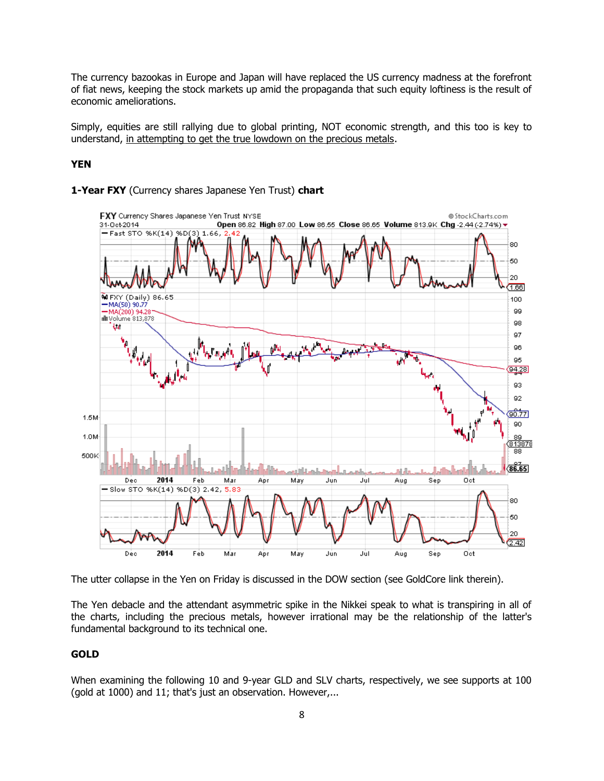The currency bazookas in Europe and Japan will have replaced the US currency madness at the forefront of fiat news, keeping the stock markets up amid the propaganda that such equity loftiness is the result of economic ameliorations.

Simply, equities are still rallying due to global printing, NOT economic strength, and this too is key to understand, in attempting to get the true lowdown on the precious metals.

### **YEN**



#### **1-Year FXY** (Currency shares Japanese Yen Trust) **chart**

The utter collapse in the Yen on Friday is discussed in the DOW section (see GoldCore link therein).

The Yen debacle and the attendant asymmetric spike in the Nikkei speak to what is transpiring in all of the charts, including the precious metals, however irrational may be the relationship of the latter's fundamental background to its technical one.

### **GOLD**

When examining the following 10 and 9-year GLD and SLV charts, respectively, we see supports at 100 (gold at 1000) and 11; that's just an observation. However,...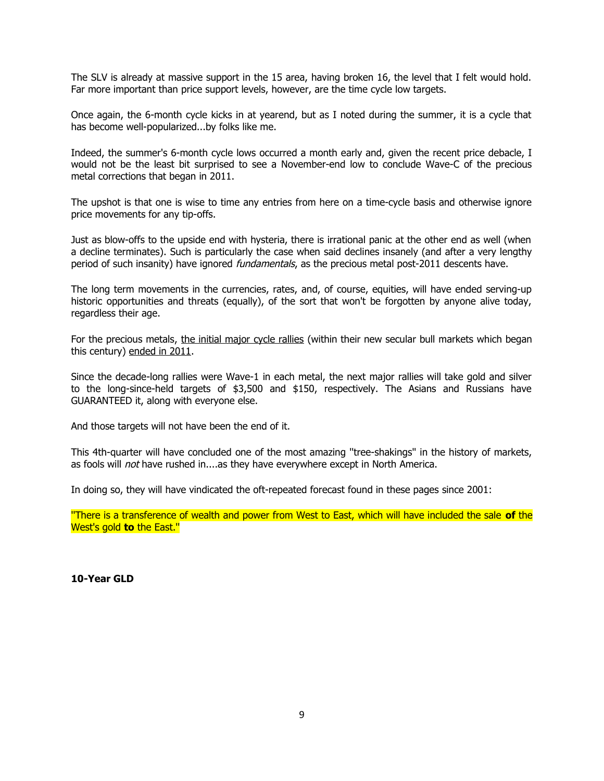The SLV is already at massive support in the 15 area, having broken 16, the level that I felt would hold. Far more important than price support levels, however, are the time cycle low targets.

Once again, the 6-month cycle kicks in at yearend, but as I noted during the summer, it is a cycle that has become well-popularized...by folks like me.

Indeed, the summer's 6-month cycle lows occurred a month early and, given the recent price debacle, I would not be the least bit surprised to see a November-end low to conclude Wave-C of the precious metal corrections that began in 2011.

The upshot is that one is wise to time any entries from here on a time-cycle basis and otherwise ignore price movements for any tip-offs.

Just as blow-offs to the upside end with hysteria, there is irrational panic at the other end as well (when a decline terminates). Such is particularly the case when said declines insanely (and after a very lengthy period of such insanity) have ignored *fundamentals*, as the precious metal post-2011 descents have.

The long term movements in the currencies, rates, and, of course, equities, will have ended serving-up historic opportunities and threats (equally), of the sort that won't be forgotten by anyone alive today, regardless their age.

For the precious metals, the initial major cycle rallies (within their new secular bull markets which began this century) ended in 2011.

Since the decade-long rallies were Wave-1 in each metal, the next major rallies will take gold and silver to the long-since-held targets of \$3,500 and \$150, respectively. The Asians and Russians have GUARANTEED it, along with everyone else.

And those targets will not have been the end of it.

This 4th-quarter will have concluded one of the most amazing ''tree-shakings'' in the history of markets, as fools will *not* have rushed in....as they have everywhere except in North America.

In doing so, they will have vindicated the oft-repeated forecast found in these pages since 2001:

''There is a transference of wealth and power from West to East, which will have included the sale **of** the West's gold **to** the East.''

**10-Year GLD**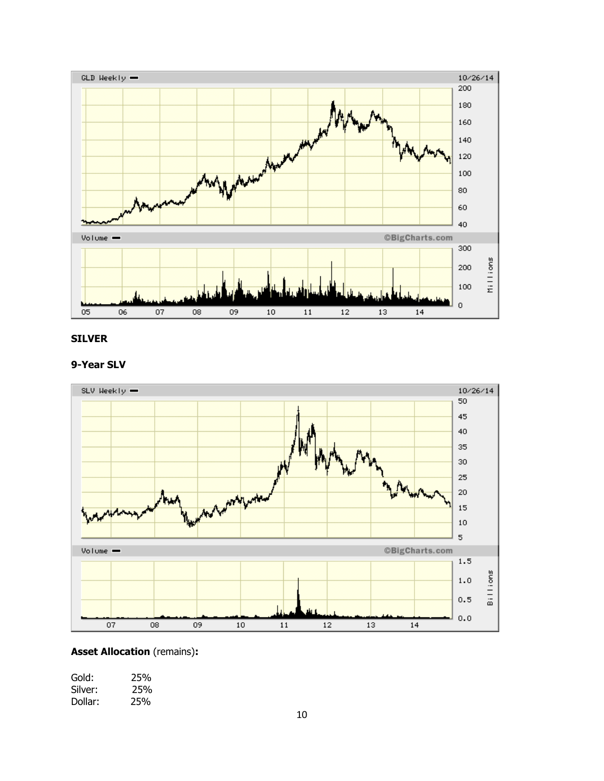

## **SILVER**

## **9-Year SLV**



## **Asset Allocation** (remains)**:**

| Gold:   | 25% |
|---------|-----|
| Silver: | 25% |
| Dollar: | 25% |